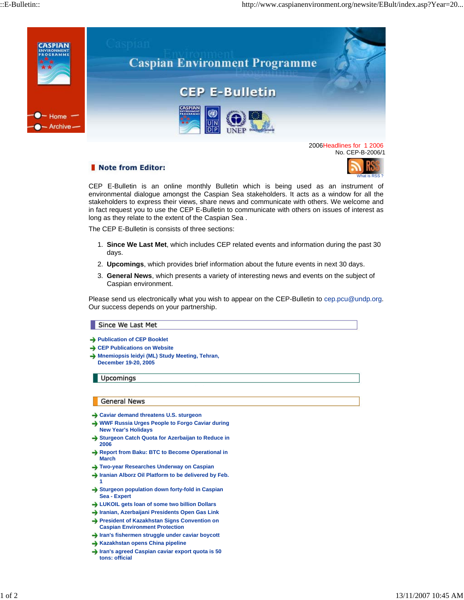

No. CEP-B-2006/1

## Note from Editor:



CEP E-Bulletin is an online monthly Bulletin which is being used as an instrument of environmental dialogue amongst the Caspian Sea stakeholders. It acts as a window for all the stakeholders to express their views, share news and communicate with others. We welcome and in fact request you to use the CEP E-Bulletin to communicate with others on issues of interest as long as they relate to the extent of the Caspian Sea .

The CEP E-Bulletin is consists of three sections:

- **Since We Last Met**, which includes CEP related events and information during the past 30 1. days.
- 2. **Upcomings**, which provides brief information about the future events in next 30 days.
- **General News**, which presents a variety of interesting news and events on the subject of 3. Caspian environment.

Please send us electronically what you wish to appear on the CEP-Bulletin to cep.pcu@undp.org. Our success depends on your partnership.

## Since We Last Met

- **Publication of CEP Booklet**
- **→ CEP Publications on Website**
- **→ Mnemiopsis leidyi (ML) Study Meeting, Tehran, December 19-20, 2005**

**Upcomings** 

## General News

- **Caviar demand threatens U.S. sturgeon**
- **WWF Russia Urges People to Forgo Caviar during New Year's Holidays**
- **Sturgeon Catch Quota for Azerbaijan to Reduce in 2006**
- **→ Report from Baku: BTC to Become Operational in March**
- **Two-year Researches Underway on Caspian**
- **Iranian Alborz Oil Platform to be delivered by Feb. 1**
- **→ Sturgeon population down forty-fold in Caspian Sea - Expert**
- **LUKOIL gets loan of some two billion Dollars**
- **Iranian, Azerbaijani Presidents Open Gas Link**
- **President of Kazakhstan Signs Convention on Caspian Environment Protection**
- **Iran's fishermen struggle under caviar boycott**
- **Kazakhstan opens China pipeline**
- **Iran's agreed Caspian caviar export quota is 50 tons: official**